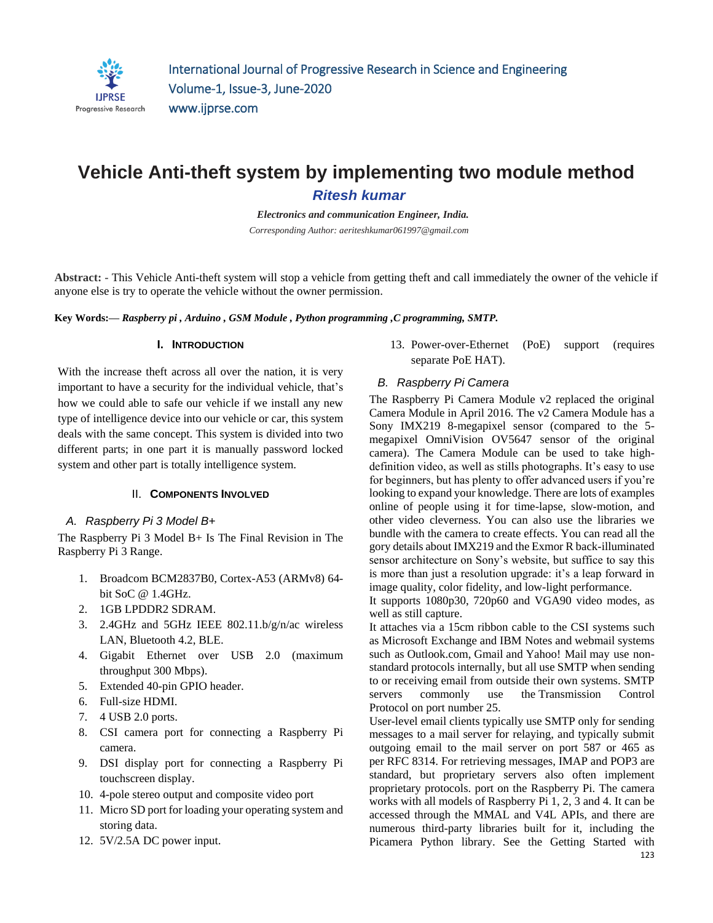

# **Vehicle Anti-theft system by implementing two module method**  *Ritesh kumar*

*Electronics and communication Engineer, India. Corresponding Author: aeriteshkumar061997@gmail.com*

**Abstract: -** This Vehicle Anti-theft system will stop a vehicle from getting theft and call immediately the owner of the vehicle if anyone else is try to operate the vehicle without the owner permission.

**Key Words:—** *Raspberry pi , Arduino , GSM Module , Python programming ,C programming, SMTP.*

#### **I. INTRODUCTION**

With the increase theft across all over the nation, it is very important to have a security for the individual vehicle, that's how we could able to safe our vehicle if we install any new type of intelligence device into our vehicle or car, this system deals with the same concept. This system is divided into two different parts; in one part it is manually password locked system and other part is totally intelligence system.

#### II. **COMPONENTS INVOLVED**

#### *A. Raspberry Pi 3 Model B+*

The Raspberry Pi 3 Model B+ Is The Final Revision in The Raspberry Pi 3 Range.

- 1. Broadcom BCM2837B0, Cortex-A53 (ARMv8) 64 bit SoC @ 1.4GHz.
- 2. 1GB LPDDR2 SDRAM.
- 3. 2.4GHz and 5GHz IEEE 802.11.b/g/n/ac wireless LAN, Bluetooth 4.2, BLE.
- 4. Gigabit Ethernet over USB 2.0 (maximum throughput 300 Mbps).
- 5. Extended 40-pin GPIO header.
- 6. Full-size HDMI.
- 7. 4 USB 2.0 ports.
- 8. CSI camera port for connecting a Raspberry Pi camera.
- 9. DSI display port for connecting a Raspberry Pi touchscreen display.
- 10. 4-pole stereo output and composite video port
- 11. Micro SD port for loading your operating system and storing data.
- 12. 5V/2.5A DC power input.

13. Power-over-Ethernet (PoE) support (requires separate PoE HAT).

#### *B. Raspberry Pi Camera*

The Raspberry Pi Camera Module v2 replaced the original Camera Module in April 2016. The v2 Camera Module has a Sony IMX219 8-megapixel sensor (compared to the 5 megapixel OmniVision OV5647 sensor of the original camera). The Camera Module can be used to take highdefinition video, as well as stills photographs. It's easy to use for beginners, but has plenty to offer advanced users if you're looking to expand your knowledge. There are lots of examples online of people using it for time-lapse, slow-motion, and other video cleverness. You can also use the libraries we bundle with the camera to create effects. You can read all the gory details about IMX219 and the Exmor R back-illuminated sensor architecture on Sony's website, but suffice to say this is more than just a resolution upgrade: it's a leap forward in image quality, color fidelity, and low-light performance.

It supports 1080p30, 720p60 and VGA90 video modes, as well as still capture.

It attaches via a 15cm ribbon cable to the CSI systems such as [Microsoft Exchange](https://en.m.wikipedia.org/wiki/Microsoft_Exchange_Server) and [IBM Notes](https://en.m.wikipedia.org/wiki/IBM_Notes) and [webmail](https://en.m.wikipedia.org/wiki/Webmail) systems such as [Outlook.com,](https://en.m.wikipedia.org/wiki/Outlook.com) [Gmail](https://en.m.wikipedia.org/wiki/Gmail) and [Yahoo! Mail](https://en.m.wikipedia.org/wiki/Yahoo!_Mail) may use nonstandard protocols internally, but all use SMTP when sending to or receiving email from outside their own systems. SMTP servers commonly use the [Transmission Control](https://en.m.wikipedia.org/wiki/Transmission_Control_Protocol)  [Protocol](https://en.m.wikipedia.org/wiki/Transmission_Control_Protocol) on [port number](https://en.m.wikipedia.org/wiki/Port_number) 25.

User-level [email clients](https://en.m.wikipedia.org/wiki/Email_client) typically use SMTP only for sending messages to a mail server for relaying, and typically submit outgoing email to the mail server on port 587 or 465 as per [RFC 8314.](https://tools.ietf.org/html/rfc8314) For retrieving messages, [IMAP](https://en.m.wikipedia.org/wiki/Internet_Message_Access_Protocol) and [POP3](https://en.m.wikipedia.org/wiki/Post_Office_Protocol) are standard, but proprietary servers also often implement proprietary protocols. port on the Raspberry Pi. The camera works with all models of Raspberry Pi 1, 2, 3 and 4. It can be accessed through the MMAL and V4L APIs, and there are numerous third-party libraries built for it, including the Picamera Python library. See the Getting Started with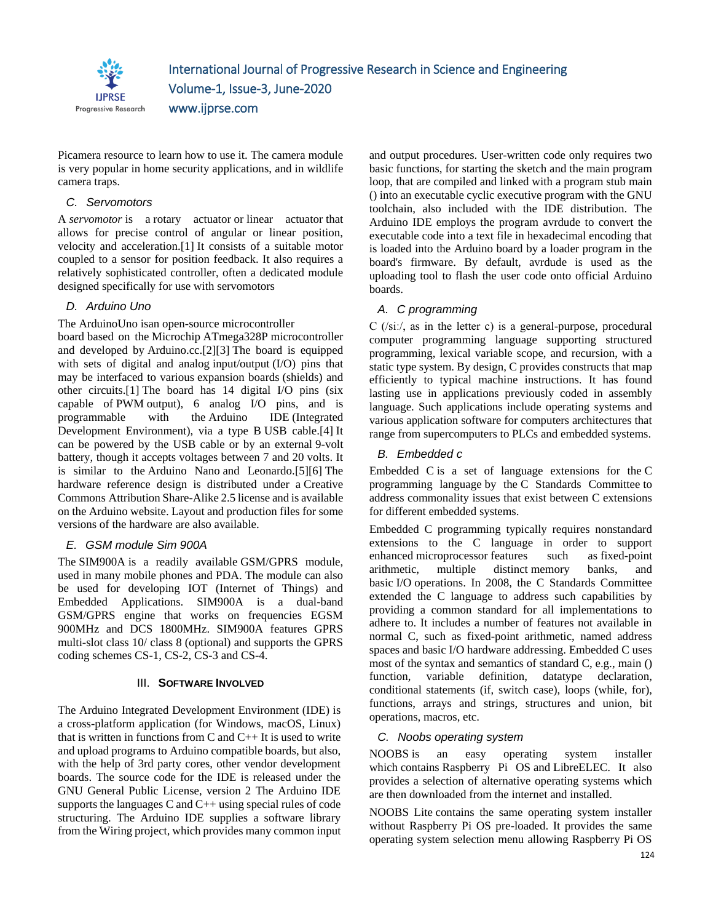

Picamera resource to learn how to use it. The camera module is very popular in home security applications, and in wildlife camera traps.

# *C. Servomotors*

A *servomotor* is a [rotary actuator](https://en.m.wikipedia.org/wiki/Rotary_actuator) or [linear actuator](https://en.m.wikipedia.org/wiki/Linear_actuator) that allows for precise control of angular or linear position, velocity and acceleration[.\[1\]](https://en.m.wikipedia.org/wiki/Servomotor#cite_note-1) It consists of a suitable motor coupled to a sensor for position feedback. It also requires a relatively sophisticated controller, often a dedicated module designed specifically for use with servomotors

# *D. Arduino Uno*

The ArduinoUno isan [open-source](https://en.m.wikipedia.org/wiki/Open-source) [microcontroller](https://en.m.wikipedia.org/wiki/Microcontroller_board) 

[board](https://en.m.wikipedia.org/wiki/Microcontroller_board) based on the [Microchip](https://en.m.wikipedia.org/wiki/Microchip_Technology) [ATmega328P](https://en.m.wikipedia.org/wiki/ATmega328P) microcontroller and developed by [Arduino.cc.](https://en.m.wikipedia.org/wiki/Arduino)[\[2\]\[3\]](https://en.m.wikipedia.org/wiki/Arduino_Uno#cite_note-2) The board is equipped with sets of digital and analog [input/output](https://en.m.wikipedia.org/wiki/Input/output) (I/O) pins that may be interfaced to various [expansion boards](https://en.m.wikipedia.org/wiki/Expansion_board) (shields) and other circuits[.\[1\]](https://en.m.wikipedia.org/wiki/Arduino_Uno#cite_note-Makerspace-1) The board has 14 digital I/O pins (six capable of [PWM](https://en.m.wikipedia.org/wiki/Pulse-width_modulation) output), 6 analog I/O pins, and is programmable with the [Arduino IDE](https://en.m.wikipedia.org/wiki/Arduino#Software) (Integrated Development Environment), via a type B [USB cable](https://en.m.wikipedia.org/wiki/USB_cable)[.\[4\]](https://en.m.wikipedia.org/wiki/Arduino_Uno#cite_note-priceton-4) It can be powered by the USB cable or by an external [9-volt](https://en.m.wikipedia.org/wiki/9-volt_battery)  [battery,](https://en.m.wikipedia.org/wiki/9-volt_battery) though it accepts voltages between 7 and 20 volts. It is similar to the [Arduino Nano](https://en.m.wikipedia.org/wiki/Arduino_Nano) and Leonardo[.\[5\]\[6\]](https://en.m.wikipedia.org/wiki/Arduino_Uno#cite_note-5) The hardware reference design is distributed under a [Creative](https://en.m.wikipedia.org/wiki/Creative_Commons)  [Commons](https://en.m.wikipedia.org/wiki/Creative_Commons) Attribution Share-Alike 2.5 license and is available on the Arduino website. Layout and production files for some versions of the hardware are also available.

# *E. GSM module Sim 900A*

The SIM900A is a readily available GSM/GPRS module, used in many mobile phones and PDA. The module can also be used for developing IOT (Internet of Things) and Embedded Applications. SIM900A is a dual-band GSM/GPRS engine that works on frequencies EGSM 900MHz and DCS 1800MHz. SIM900A features GPRS multi-slot class 10/ class 8 (optional) and supports the GPRS coding schemes CS-1, CS-2, CS-3 and CS-4.

#### III. **SOFTWARE INVOLVED**

The Arduino Integrated Development Environment (IDE) is a cross-platform application (for Windows, macOS, Linux) that is written in functions from  $C$  and  $C_{++}$  It is used to write and upload programs to Arduino compatible boards, but also, with the help of 3rd party cores, other vendor development boards. The source code for the IDE is released under the GNU General Public License, version 2 The Arduino IDE supports the languages  $C$  and  $C++$  using special rules of code structuring. The Arduino IDE supplies a software library from the Wiring project, which provides many common input and output procedures. User-written code only requires two basic functions, for starting the sketch and the main program loop, that are compiled and linked with a program stub main () into an executable cyclic executive program with the GNU toolchain, also included with the IDE distribution. The Arduino IDE employs the program avrdude to convert the executable code into a text file in hexadecimal encoding that is loaded into the Arduino board by a loader program in the board's firmware. By default, avrdude is used as the uploading tool to flash the user code onto official Arduino boards.

# *A. C programming*

C (/siː/, as in the letter c) is a general-purpose, procedural computer programming language supporting structured programming, lexical variable scope, and recursion, with a static type system. By design, C provides constructs that map efficiently to typical machine instructions. It has found lasting use in applications previously coded in assembly language. Such applications include operating systems and various application software for computers architectures that range from supercomputers to PLCs and embedded systems.

# *B. Embedded c*

Embedded C is a set of language extensions for the [C](https://en.m.wikipedia.org/wiki/C_(programming_language))  [programming language](https://en.m.wikipedia.org/wiki/C_(programming_language)) by the [C Standards Committee](https://en.m.wikipedia.org/wiki/ISO/IEC_JTC_1/SC_22) to address commonality issues that exist between C extensions for different [embedded systems.](https://en.m.wikipedia.org/wiki/Embedded_system)

Embedded C programming typically requires nonstandard extensions to the C language in order to support enhanced [microprocessor](https://en.m.wikipedia.org/wiki/Microprocessor) features such as [fixed-point](https://en.m.wikipedia.org/wiki/Fixed-point_arithmetic)  [arithmetic,](https://en.m.wikipedia.org/wiki/Fixed-point_arithmetic) multiple distinct [memory banks,](https://en.m.wikipedia.org/wiki/Memory_bank) and basic [I/O](https://en.m.wikipedia.org/wiki/I/O) operations. In 2008, the C Standards Committee extended the C language to address such capabilities by providing a common standard for all implementations to adhere to. It includes a number of features not available in normal C, such as fixed-point arithmetic, named address spaces and basic I/O hardware addressing. Embedded C uses most of the syntax and semantics of standard C, e.g., main () function, variable definition, datatype declaration, conditional statements (if, switch case), loops (while, for), functions, arrays and strings, structures and union, bit operations, macros, etc.

# *C. Noobs operating system*

NOOBS is an easy operating system installer which contains [Raspberry Pi OS](https://www.raspberrypi.org/downloads/raspbian/) and [LibreELEC.](https://libreelec.tv/) It also provides a selection of alternative operating systems which are then downloaded from the internet and installed.

NOOBS Lite contains the same operating system installer without Raspberry Pi OS pre-loaded. It provides the same operating system selection menu allowing Raspberry Pi OS